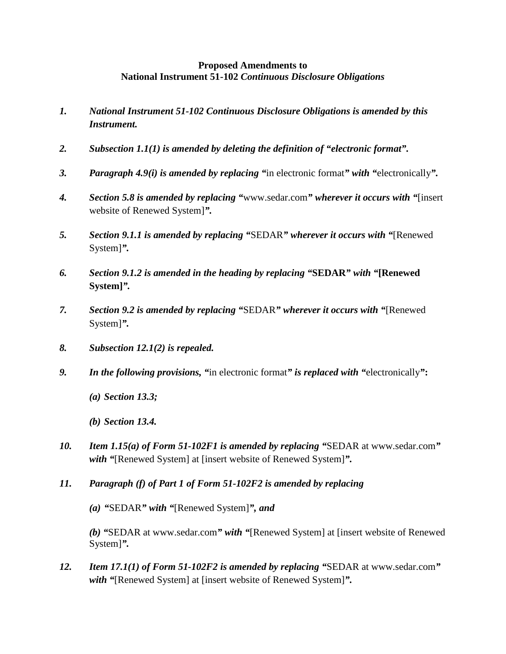## **Proposed Amendments to National Instrument 51-102** *Continuous Disclosure Obligations*

- *1. National Instrument 51-102 Continuous Disclosure Obligations is amended by this Instrument.*
- *2. Subsection 1.1(1) is amended by deleting the definition of "electronic format".*
- *3. Paragraph 4.9(i) is amended by replacing "*in electronic format*" with "*electronically*".*
- *4. Section 5.8 is amended by replacing "*www.sedar.com*" wherever it occurs with "*[insert website of Renewed System]*".*
- *5. Section 9.1.1 is amended by replacing "*SEDAR*" wherever it occurs with "*[Renewed System]*".*
- *6. Section 9.1.2 is amended in the heading by replacing "***SEDAR***" with "***[Renewed System]***".*
- *7. Section 9.2 is amended by replacing "*SEDAR*" wherever it occurs with "*[Renewed System]*".*
- *8. Subsection 12.1(2) is repealed.*
- *9. In the following provisions, "*in electronic format*" is replaced with "*electronically*"***:**
	- *(a) Section 13.3;*

*(b) Section 13.4.*

- *10. Item 1.15(a) of Form 51-102F1 is amended by replacing "*SEDAR at www.sedar.com*" with "*[Renewed System] at [insert website of Renewed System]*".*
- *11. Paragraph (f) of Part 1 of Form 51-102F2 is amended by replacing*

*(a) "*SEDAR*" with "*[Renewed System]*", and*

*(b) "*SEDAR at www.sedar.com*" with "*[Renewed System] at [insert website of Renewed System]*".*

*12. Item 17.1(1) of Form 51-102F2 is amended by replacing "*SEDAR at www.sedar.com*" with "*[Renewed System] at [insert website of Renewed System]*".*